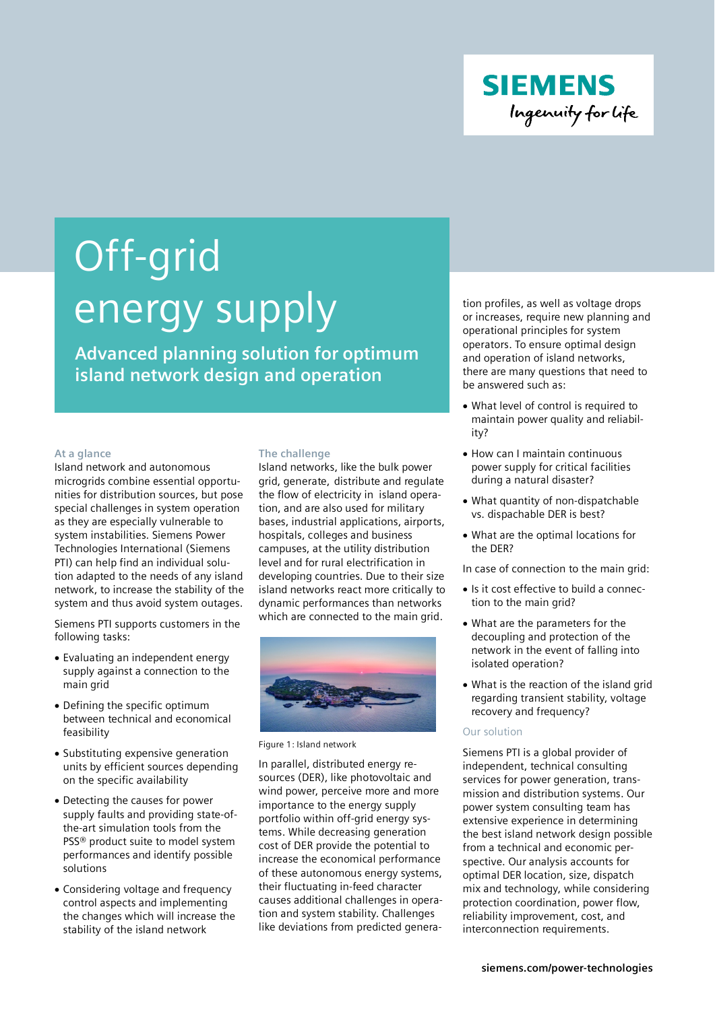

# Off-grid energy supply

**Advanced planning solution for optimum island network design and operation**

#### **At a glance**

Island network and autonomous microgrids combine essential opportunities for distribution sources, but pose special challenges in system operation as they are especially vulnerable to system instabilities. Siemens Power Technologies International (Siemens PTI) can help find an individual solution adapted to the needs of any island network, to increase the stability of the system and thus avoid system outages.

Siemens PTI supports customers in the following tasks:

- Evaluating an independent energy supply against a connection to the main grid
- Defining the specific optimum between technical and economical feasibility
- Substituting expensive generation units by efficient sources depending on the specific availability
- Detecting the causes for power supply faults and providing state-ofthe-art simulation tools from the PSS® product suite to model system performances and identify possible solutions
- Considering voltage and frequency control aspects and implementing the changes which will increase the stability of the island network

#### **The challenge**

Island networks, like the bulk power grid, generate, distribute and regulate the flow of electricity in island operation, and are also used for military bases, industrial applications, airports, hospitals, colleges and business campuses, at the utility distribution level and for rural electrification in developing countries. Due to their size island networks react more critically to dynamic performances than networks which are connected to the main grid.



Figure 1: Island network

In parallel, distributed energy resources (DER), like photovoltaic and wind power, perceive more and more importance to the energy supply portfolio within off-grid energy systems. While decreasing generation cost of DER provide the potential to increase the economical performance of these autonomous energy systems, their fluctuating in-feed character causes additional challenges in operation and system stability. Challenges like deviations from predicted generation profiles, as well as voltage drops or increases, require new planning and operational principles for system operators. To ensure optimal design and operation of island networks, there are many questions that need to be answered such as:

- ∂ What level of control is required to maintain power quality and reliability?
- ∂ How can I maintain continuous power supply for critical facilities during a natural disaster?
- ∂ What quantity of non-dispatchable vs. dispachable DER is best?
- ∂ What are the optimal locations for the DER?

In case of connection to the main grid:

- ∂ Is it cost effective to build a connection to the main grid?
- ∂ What are the parameters for the decoupling and protection of the network in the event of falling into isolated operation?
- What is the reaction of the island grid regarding transient stability, voltage recovery and frequency?

## Our solution

Siemens PTI is a global provider of independent, technical consulting services for power generation, transmission and distribution systems. Our power system consulting team has extensive experience in determining the best island network design possible from a technical and economic perspective. Our analysis accounts for optimal DER location, size, dispatch mix and technology, while considering protection coordination, power flow, reliability improvement, cost, and interconnection requirements.